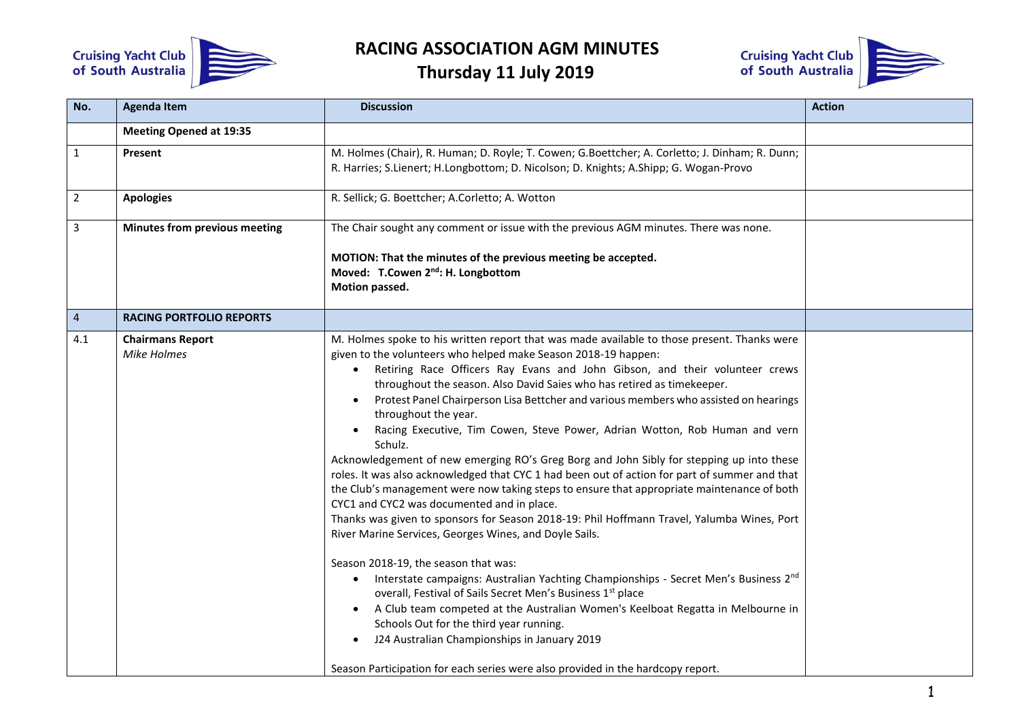

## **RACING ASSOCIATION AGM MINUTES**

**Thursday 11 July 2019**



| No.            | <b>Agenda Item</b>                     | <b>Discussion</b>                                                                                                                                                                                                                                                                                                                                                                                                                                                                                                                                                                                                                                                                                                                                                                                                                                                                                                                                                                                                                                                                                                                                                                                                                                                                                                                                                                                                                                                                                                         | <b>Action</b> |
|----------------|----------------------------------------|---------------------------------------------------------------------------------------------------------------------------------------------------------------------------------------------------------------------------------------------------------------------------------------------------------------------------------------------------------------------------------------------------------------------------------------------------------------------------------------------------------------------------------------------------------------------------------------------------------------------------------------------------------------------------------------------------------------------------------------------------------------------------------------------------------------------------------------------------------------------------------------------------------------------------------------------------------------------------------------------------------------------------------------------------------------------------------------------------------------------------------------------------------------------------------------------------------------------------------------------------------------------------------------------------------------------------------------------------------------------------------------------------------------------------------------------------------------------------------------------------------------------------|---------------|
|                | <b>Meeting Opened at 19:35</b>         |                                                                                                                                                                                                                                                                                                                                                                                                                                                                                                                                                                                                                                                                                                                                                                                                                                                                                                                                                                                                                                                                                                                                                                                                                                                                                                                                                                                                                                                                                                                           |               |
| $\mathbf{1}$   | Present                                | M. Holmes (Chair), R. Human; D. Royle; T. Cowen; G.Boettcher; A. Corletto; J. Dinham; R. Dunn;<br>R. Harries; S.Lienert; H.Longbottom; D. Nicolson; D. Knights; A.Shipp; G. Wogan-Provo                                                                                                                                                                                                                                                                                                                                                                                                                                                                                                                                                                                                                                                                                                                                                                                                                                                                                                                                                                                                                                                                                                                                                                                                                                                                                                                                   |               |
| $\overline{2}$ | <b>Apologies</b>                       | R. Sellick; G. Boettcher; A.Corletto; A. Wotton                                                                                                                                                                                                                                                                                                                                                                                                                                                                                                                                                                                                                                                                                                                                                                                                                                                                                                                                                                                                                                                                                                                                                                                                                                                                                                                                                                                                                                                                           |               |
| 3              | Minutes from previous meeting          | The Chair sought any comment or issue with the previous AGM minutes. There was none.<br>MOTION: That the minutes of the previous meeting be accepted.<br>Moved: T.Cowen 2 <sup>nd</sup> : H. Longbottom<br>Motion passed.                                                                                                                                                                                                                                                                                                                                                                                                                                                                                                                                                                                                                                                                                                                                                                                                                                                                                                                                                                                                                                                                                                                                                                                                                                                                                                 |               |
| $\overline{4}$ | <b>RACING PORTFOLIO REPORTS</b>        |                                                                                                                                                                                                                                                                                                                                                                                                                                                                                                                                                                                                                                                                                                                                                                                                                                                                                                                                                                                                                                                                                                                                                                                                                                                                                                                                                                                                                                                                                                                           |               |
| 4.1            | <b>Chairmans Report</b><br>Mike Holmes | M. Holmes spoke to his written report that was made available to those present. Thanks were<br>given to the volunteers who helped make Season 2018-19 happen:<br>Retiring Race Officers Ray Evans and John Gibson, and their volunteer crews<br>throughout the season. Also David Saies who has retired as timekeeper.<br>Protest Panel Chairperson Lisa Bettcher and various members who assisted on hearings<br>throughout the year.<br>Racing Executive, Tim Cowen, Steve Power, Adrian Wotton, Rob Human and vern<br>Schulz.<br>Acknowledgement of new emerging RO's Greg Borg and John Sibly for stepping up into these<br>roles. It was also acknowledged that CYC 1 had been out of action for part of summer and that<br>the Club's management were now taking steps to ensure that appropriate maintenance of both<br>CYC1 and CYC2 was documented and in place.<br>Thanks was given to sponsors for Season 2018-19: Phil Hoffmann Travel, Yalumba Wines, Port<br>River Marine Services, Georges Wines, and Doyle Sails.<br>Season 2018-19, the season that was:<br>Interstate campaigns: Australian Yachting Championships - Secret Men's Business 2nd<br>$\bullet$<br>overall, Festival of Sails Secret Men's Business 1st place<br>A Club team competed at the Australian Women's Keelboat Regatta in Melbourne in<br>Schools Out for the third year running.<br>J24 Australian Championships in January 2019<br>$\bullet$<br>Season Participation for each series were also provided in the hardcopy report. |               |